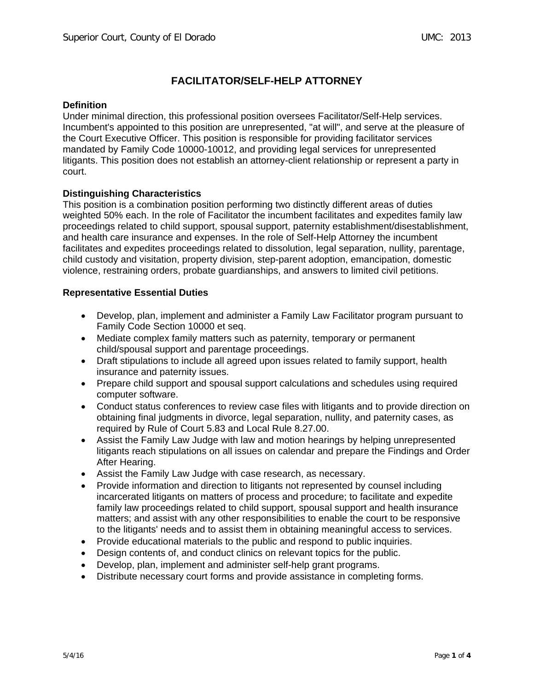# **FACILITATOR/SELF-HELP ATTORNEY**

# **Definition**

Under minimal direction, this professional position oversees Facilitator/Self-Help services. Incumbent's appointed to this position are unrepresented, "at will", and serve at the pleasure of the Court Executive Officer. This position is responsible for providing facilitator services mandated by Family Code 10000-10012, and providing legal services for unrepresented litigants. This position does not establish an attorney-client relationship or represent a party in court.

# **Distinguishing Characteristics**

This position is a combination position performing two distinctly different areas of duties weighted 50% each. In the role of Facilitator the incumbent facilitates and expedites family law proceedings related to child support, spousal support, paternity establishment/disestablishment, and health care insurance and expenses. In the role of Self-Help Attorney the incumbent facilitates and expedites proceedings related to dissolution, legal separation, nullity, parentage, child custody and visitation, property division, step-parent adoption, emancipation, domestic violence, restraining orders, probate guardianships, and answers to limited civil petitions.

# **Representative Essential Duties**

- Develop, plan, implement and administer a Family Law Facilitator program pursuant to Family Code Section 10000 et seq.
- Mediate complex family matters such as paternity, temporary or permanent child/spousal support and parentage proceedings.
- Draft stipulations to include all agreed upon issues related to family support, health insurance and paternity issues.
- Prepare child support and spousal support calculations and schedules using required computer software.
- Conduct status conferences to review case files with litigants and to provide direction on obtaining final judgments in divorce, legal separation, nullity, and paternity cases, as required by Rule of Court 5.83 and Local Rule 8.27.00.
- Assist the Family Law Judge with law and motion hearings by helping unrepresented litigants reach stipulations on all issues on calendar and prepare the Findings and Order After Hearing.
- Assist the Family Law Judge with case research, as necessary.
- Provide information and direction to litigants not represented by counsel including incarcerated litigants on matters of process and procedure; to facilitate and expedite family law proceedings related to child support, spousal support and health insurance matters; and assist with any other responsibilities to enable the court to be responsive to the litigants' needs and to assist them in obtaining meaningful access to services.
- Provide educational materials to the public and respond to public inquiries.
- Design contents of, and conduct clinics on relevant topics for the public.
- Develop, plan, implement and administer self-help grant programs.
- Distribute necessary court forms and provide assistance in completing forms.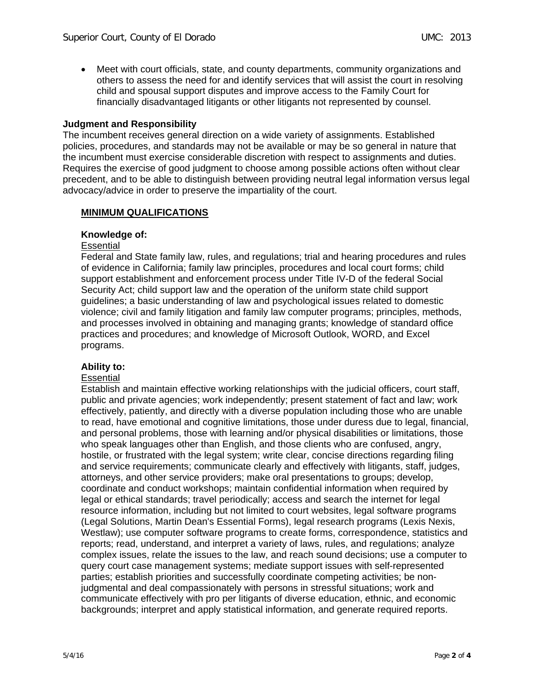Meet with court officials, state, and county departments, community organizations and others to assess the need for and identify services that will assist the court in resolving child and spousal support disputes and improve access to the Family Court for financially disadvantaged litigants or other litigants not represented by counsel.

# **Judgment and Responsibility**

The incumbent receives general direction on a wide variety of assignments. Established policies, procedures, and standards may not be available or may be so general in nature that the incumbent must exercise considerable discretion with respect to assignments and duties. Requires the exercise of good judgment to choose among possible actions often without clear precedent, and to be able to distinguish between providing neutral legal information versus legal advocacy/advice in order to preserve the impartiality of the court.

# **MINIMUM QUALIFICATIONS**

# **Knowledge of:**

### **Essential**

Federal and State family law, rules, and regulations; trial and hearing procedures and rules of evidence in California; family law principles, procedures and local court forms; child support establishment and enforcement process under Title IV-D of the federal Social Security Act; child support law and the operation of the uniform state child support guidelines; a basic understanding of law and psychological issues related to domestic violence; civil and family litigation and family law computer programs; principles, methods, and processes involved in obtaining and managing grants; knowledge of standard office practices and procedures; and knowledge of Microsoft Outlook, WORD, and Excel programs.

# **Ability to:**

#### **Essential**

Establish and maintain effective working relationships with the judicial officers, court staff, public and private agencies; work independently; present statement of fact and law; work effectively, patiently, and directly with a diverse population including those who are unable to read, have emotional and cognitive limitations, those under duress due to legal, financial, and personal problems, those with learning and/or physical disabilities or limitations, those who speak languages other than English, and those clients who are confused, angry, hostile, or frustrated with the legal system; write clear, concise directions regarding filing and service requirements; communicate clearly and effectively with litigants, staff, judges, attorneys, and other service providers; make oral presentations to groups; develop, coordinate and conduct workshops; maintain confidential information when required by legal or ethical standards; travel periodically; access and search the internet for legal resource information, including but not limited to court websites, legal software programs (Legal Solutions, Martin Dean's Essential Forms), legal research programs (Lexis Nexis, Westlaw); use computer software programs to create forms, correspondence, statistics and reports; read, understand, and interpret a variety of laws, rules, and regulations; analyze complex issues, relate the issues to the law, and reach sound decisions; use a computer to query court case management systems; mediate support issues with self-represented parties; establish priorities and successfully coordinate competing activities; be nonjudgmental and deal compassionately with persons in stressful situations; work and communicate effectively with pro per litigants of diverse education, ethnic, and economic backgrounds; interpret and apply statistical information, and generate required reports.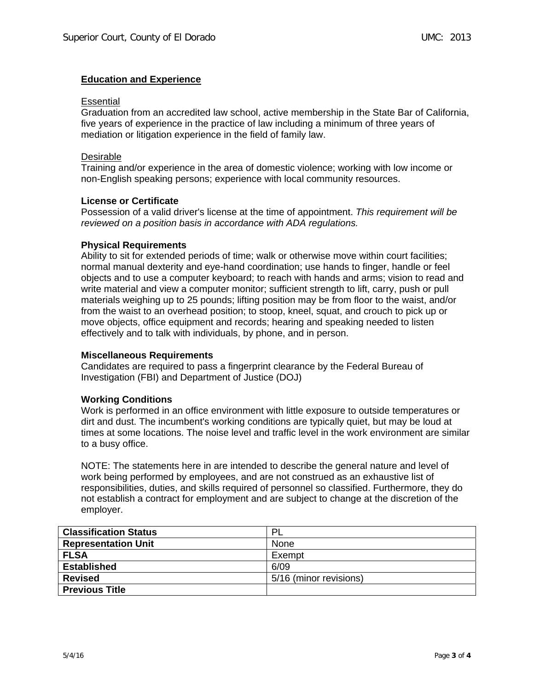# **Education and Experience**

### **Essential**

Graduation from an accredited law school, active membership in the State Bar of California, five years of experience in the practice of law including a minimum of three years of mediation or litigation experience in the field of family law.

### Desirable

Training and/or experience in the area of domestic violence; working with low income or non-English speaking persons; experience with local community resources.

# **License or Certificate**

Possession of a valid driver's license at the time of appointment. *This requirement will be reviewed on a position basis in accordance with ADA regulations.* 

### **Physical Requirements**

Ability to sit for extended periods of time; walk or otherwise move within court facilities; normal manual dexterity and eye-hand coordination; use hands to finger, handle or feel objects and to use a computer keyboard; to reach with hands and arms; vision to read and write material and view a computer monitor; sufficient strength to lift, carry, push or pull materials weighing up to 25 pounds; lifting position may be from floor to the waist, and/or from the waist to an overhead position; to stoop, kneel, squat, and crouch to pick up or move objects, office equipment and records; hearing and speaking needed to listen effectively and to talk with individuals, by phone, and in person.

# **Miscellaneous Requirements**

Candidates are required to pass a fingerprint clearance by the Federal Bureau of Investigation (FBI) and Department of Justice (DOJ)

# **Working Conditions**

Work is performed in an office environment with little exposure to outside temperatures or dirt and dust. The incumbent's working conditions are typically quiet, but may be loud at times at some locations. The noise level and traffic level in the work environment are similar to a busy office.

NOTE: The statements here in are intended to describe the general nature and level of work being performed by employees, and are not construed as an exhaustive list of responsibilities, duties, and skills required of personnel so classified. Furthermore, they do not establish a contract for employment and are subject to change at the discretion of the employer.

| <b>Classification Status</b> | -PL                    |
|------------------------------|------------------------|
| <b>Representation Unit</b>   | None                   |
| <b>FLSA</b>                  | Exempt                 |
| <b>Established</b>           | 6/09                   |
| <b>Revised</b>               | 5/16 (minor revisions) |
| <b>Previous Title</b>        |                        |